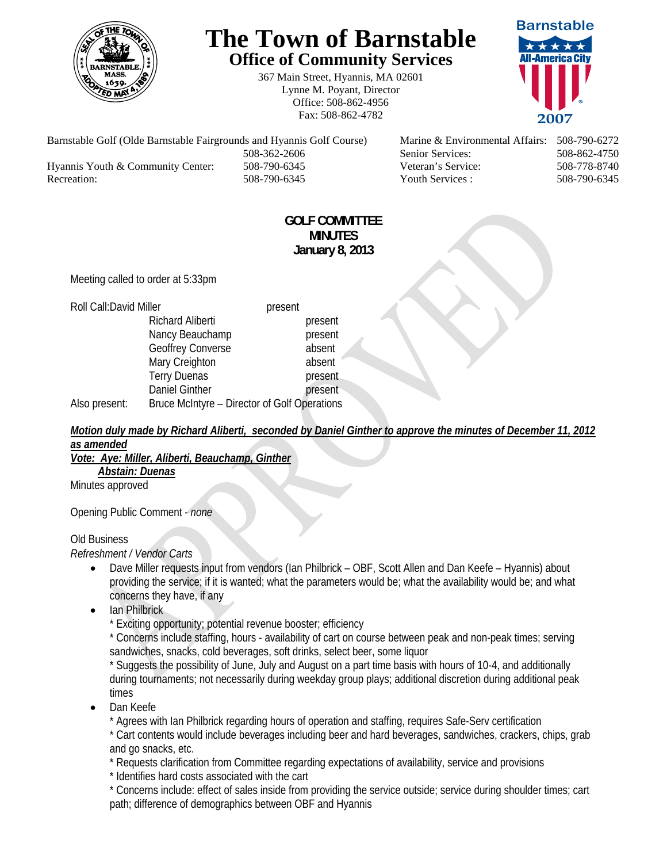

# **The Town of Barnstable Office of Community Services**

367 Main Street, Hyannis, MA 02601 Lynne M. Poyant, Director Office: 508-862-4956 Fax: 508-862-4782



Barnstable Golf (Olde Barnstable Fairgrounds and Hyannis Golf Course) Marine & Environmental Affairs: 508-790-6272 508-362-2606 Senior Services: 508-862-4750 Hyannis Youth & Community Center: 508-790-6345 Veteran's Service: 508-778-8740 Recreation: 508-790-6345 Youth Services : 508-790-6345 S08-790-6345

### **GOLF COMMITTEE MINUTES January 8, 2013**

Meeting called to order at 5:33pm

| Roll Call: David Miller |                                              | present |         |
|-------------------------|----------------------------------------------|---------|---------|
|                         | <b>Richard Aliberti</b>                      |         | present |
|                         | Nancy Beauchamp                              |         | present |
|                         | Geoffrey Converse                            |         | absent  |
|                         | Mary Creighton                               |         | absent  |
|                         | <b>Terry Duenas</b>                          |         | present |
|                         | <b>Daniel Ginther</b>                        |         | present |
| Also present:           | Bruce McIntyre - Director of Golf Operations |         |         |

# *Motion duly made by Richard Aliberti, seconded by Daniel Ginther to approve the minutes of December 11, 2012 as amended*

#### *Vote: Aye: Miller, Aliberti, Beauchamp, Ginther*

 *Abstain: Duenas* Minutes approved

Opening Public Comment - *none* 

#### Old Business

#### *Refreshment / Vendor Carts*

- Dave Miller requests input from vendors (Ian Philbrick OBF, Scott Allen and Dan Keefe Hyannis) about providing the service; if it is wanted; what the parameters would be; what the availability would be; and what concerns they have, if any
- Ian Philbrick

\* Exciting opportunity; potential revenue booster; efficiency

\* Concerns include staffing, hours - availability of cart on course between peak and non-peak times; serving sandwiches, snacks, cold beverages, soft drinks, select beer, some liquor

\* Suggests the possibility of June, July and August on a part time basis with hours of 10-4, and additionally during tournaments; not necessarily during weekday group plays; additional discretion during additional peak times

Dan Keefe

\* Agrees with Ian Philbrick regarding hours of operation and staffing, requires Safe-Serv certification \* Cart contents would include beverages including beer and hard beverages, sandwiches, crackers, chips, grab and go snacks, etc.

\* Requests clarification from Committee regarding expectations of availability, service and provisions

\* Identifies hard costs associated with the cart

\* Concerns include: effect of sales inside from providing the service outside; service during shoulder times; cart path; difference of demographics between OBF and Hyannis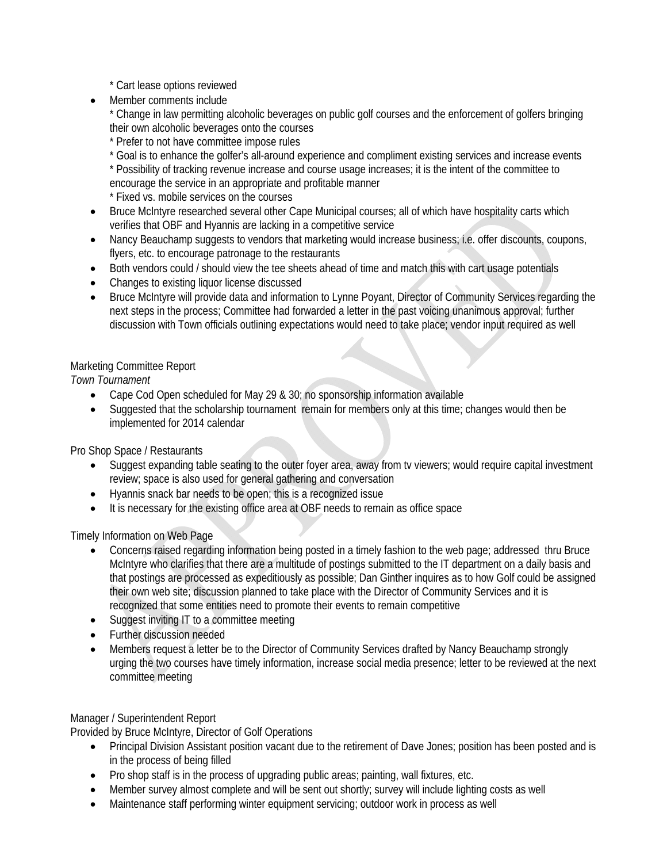\* Cart lease options reviewed

Member comments include

\* Change in law permitting alcoholic beverages on public golf courses and the enforcement of golfers bringing their own alcoholic beverages onto the courses

\* Prefer to not have committee impose rules

\* Goal is to enhance the golfer's all-around experience and compliment existing services and increase events \* Possibility of tracking revenue increase and course usage increases; it is the intent of the committee to encourage the service in an appropriate and profitable manner

\* Fixed vs. mobile services on the courses

- Bruce McIntyre researched several other Cape Municipal courses; all of which have hospitality carts which verifies that OBF and Hyannis are lacking in a competitive service
- Nancy Beauchamp suggests to vendors that marketing would increase business; i.e. offer discounts, coupons, flyers, etc. to encourage patronage to the restaurants
- Both vendors could / should view the tee sheets ahead of time and match this with cart usage potentials
- Changes to existing liquor license discussed
- Bruce McIntyre will provide data and information to Lynne Poyant, Director of Community Services regarding the next steps in the process; Committee had forwarded a letter in the past voicing unanimous approval; further discussion with Town officials outlining expectations would need to take place; vendor input required as well

## Marketing Committee Report

*Town Tournament* 

- Cape Cod Open scheduled for May 29 & 30; no sponsorship information available
- Suggested that the scholarship tournament remain for members only at this time; changes would then be implemented for 2014 calendar

Pro Shop Space / Restaurants

- Suggest expanding table seating to the outer foyer area, away from tv viewers; would require capital investment review; space is also used for general gathering and conversation
- Hyannis snack bar needs to be open; this is a recognized issue
- It is necessary for the existing office area at OBF needs to remain as office space

Timely Information on Web Page

- Concerns raised regarding information being posted in a timely fashion to the web page; addressed thru Bruce McIntyre who clarifies that there are a multitude of postings submitted to the IT department on a daily basis and that postings are processed as expeditiously as possible; Dan Ginther inquires as to how Golf could be assigned their own web site; discussion planned to take place with the Director of Community Services and it is recognized that some entities need to promote their events to remain competitive
- Suggest inviting IT to a committee meeting
- Further discussion needed
- Members request a letter be to the Director of Community Services drafted by Nancy Beauchamp strongly urging the two courses have timely information, increase social media presence; letter to be reviewed at the next committee meeting

#### Manager / Superintendent Report

Provided by Bruce McIntyre, Director of Golf Operations

- Principal Division Assistant position vacant due to the retirement of Dave Jones; position has been posted and is in the process of being filled
- Pro shop staff is in the process of upgrading public areas; painting, wall fixtures, etc.
- Member survey almost complete and will be sent out shortly; survey will include lighting costs as well
- Maintenance staff performing winter equipment servicing; outdoor work in process as well